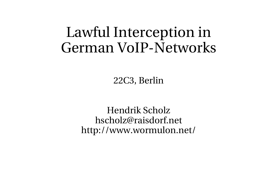#### Lawful Interception in German VoIP-Networks

22C3, Berlin

Hendrik Scholz hscholz@raisdorf.net http://www.wormulon.net/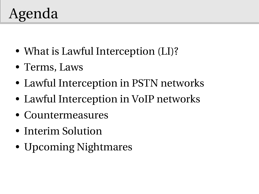# Agenda

- What is Lawful Interception (LI)?
- Terms, Laws
- Lawful Interception in PSTN networks
- Lawful Interception in VoIP networks
- Countermeasures
- Interim Solution
- Upcoming Nightmares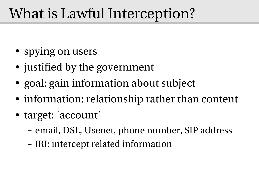# What is Lawful Interception?

- spying on users
- justified by the government
- goal: gain information about subject
- information: relationship rather than content
- target: 'account'
	- email, DSL, Usenet, phone number, SIP address
	- IRI: intercept related information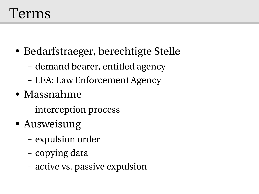#### Terms

- Bedarfstraeger, berechtigte Stelle
	- demand bearer, entitled agency
	- LEA: Law Enforcement Agency
- Massnahme
	- interception process
- Ausweisung
	- expulsion order
	- copying data
	- active vs. passive expulsion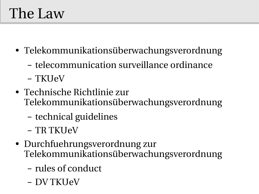# The Law

- Telekommunikationsüberwachungsverordnung
	- telecommunication surveillance ordinance
	- TKUeV
- Technische Richtlinie zur Telekommunikationsüberwachungsverordnung
	- technical guidelines
	- TR TKUeV
- Durchfuehrungsverordnung zur Telekommunikationsüberwachungsverordnung
	- rules of conduct
	- DV TKUeV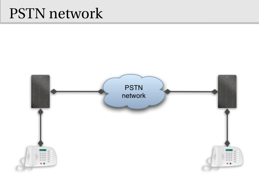#### PSTN network

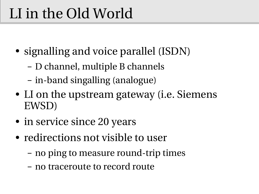# LI in the Old World

- signalling and voice parallel (ISDN)
	- D channel, multiple B channels
	- in-band singalling (analogue)
- LI on the upstream gateway (*i.e.* Siemens EWSD)
- in service since 20 years
- redirections not visible to user
	- no ping to measure round-trip times
	- no traceroute to record route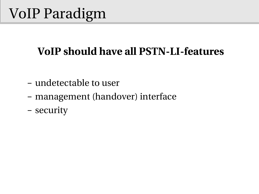# VoIP Paradigm

#### **VoIP should have all PSTN-LI-features**

- undetectable to user
- management (handover) interface
- security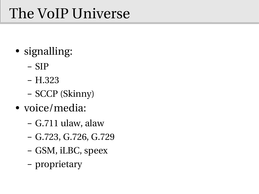# The VoIP Universe

- signalling:
	- SIP
	- H.323
	- SCCP (Skinny)
- voice/media:
	- G.711 ulaw, alaw
	- G.723, G.726, G.729
	- GSM, iLBC, speex
	- proprietary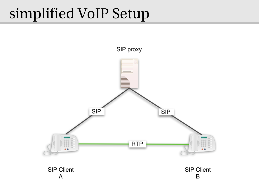### simplified VoIP Setup

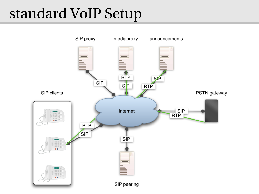# standard VoIP Setup

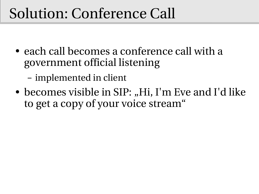#### Solution: Conference Call

- each call becomes a conference call with a government official listening
	- implemented in client
- becomes visible in SIP: "Hi, I'm Eve and I'd like to get a copy of your voice stream"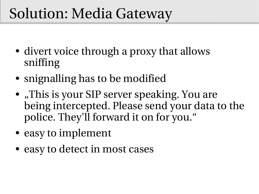### Solution: Media Gateway

- divert voice through a proxy that allows sniffing
- snignalling has to be modified
- "This is your SIP server speaking. You are being intercepted. Please send your data to the police. They'll forward it on for you."
- easy to implement
- easy to detect in most cases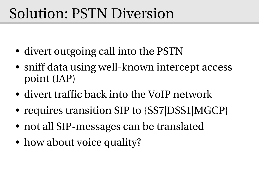#### Solution: PSTN Diversion

- divert outgoing call into the PSTN
- sniff data using well-known intercept access point (IAP)
- divert traffic back into the VoIP network
- requires transition SIP to {SS7|DSS1|MGCP}
- not all SIP-messages can be translated
- how about voice quality?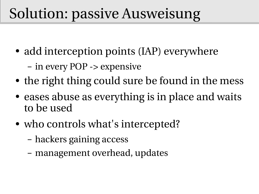# Solution: passive Ausweisung

- add interception points (IAP) everywhere
	- in every POP > expensive
- the right thing could sure be found in the mess
- eases abuse as everything is in place and waits to be used
- who controls what's intercepted?
	- hackers gaining access
	- management overhead, updates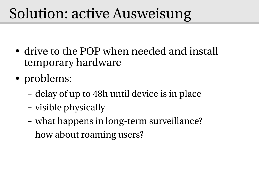# Solution: active Ausweisung

- drive to the POP when needed and install temporary hardware
- problems:
	- delay of up to 48h until device is in place
	- visible physically
	- what happens in long-term surveillance?
	- how about roaming users?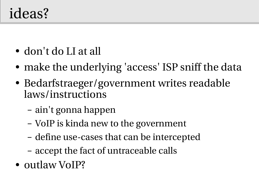#### ideas?

- don't do LI at all
- make the underlying 'access' ISP sniff the data
- Bedarfstraeger/government writes readable laws/instructions
	- ain't gonna happen
	- VoIP is kinda new to the government
	- define use-cases that can be intercepted
	- accept the fact of untraceable calls
- outlaw VoIP?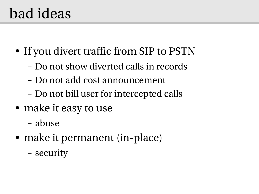#### bad ideas

- If you divert traffic from SIP to PSTN
	- Do not show diverted calls in records
	- Do not add cost announcement
	- Do not bill user for intercepted calls
- make it easy to use
	- abuse
- make it permanent (in-place)
	- security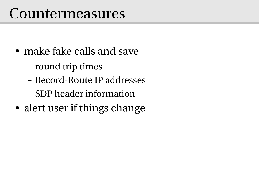#### Countermeasures

- make fake calls and save
	- round trip times
	- Record-Route IP addresses
	- SDP header information
- alert user if things change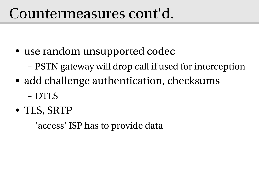#### Countermeasures cont'd.

- use random unsupported codec
	- PSTN gateway will drop call if used for interception
- add challenge authentication, checksums
	- DTLS
- TLS, SRTP
	- 'access' ISP has to provide data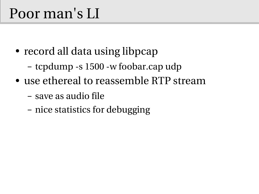#### Poor man's LI

- record all data using libpcap
	- tcpdump -s  $1500$  -w foobar.cap udp
- use ethereal to reassemble RTP stream
	- save as audio file
	- nice statistics for debugging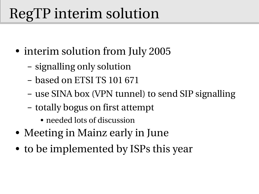# RegTP interim solution

- interim solution from July 2005
	- signalling only solution
	- based on ETSI TS 101 671
	- use SINA box (VPN tunnel) to send SIP signalling
	- totally bogus on first attempt
		- needed lots of discussion
- Meeting in Mainz early in June
- to be implemented by ISPs this year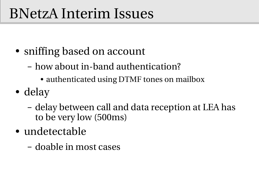#### BNetzA Interim Issues

- sniffing based on account
	- how about in-band authentication?
		- authenticated using DTMF tones on mailbox
- delay
	- delay between call and data reception at LEA has to be very low (500ms)
- undetectable
	- doable in most cases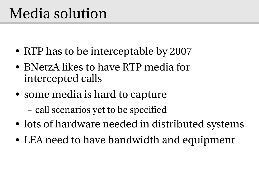# Media solution

- RTP has to be interceptable by 2007
- BNetzA likes to have RTP media for intercepted calls
- some media is hard to capture
	- call scenarios yet to be specified
- lots of hardware needed in distributed systems
- LEA need to have bandwidth and equipment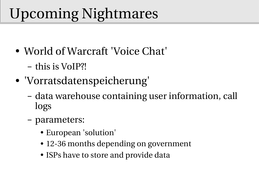# Upcoming Nightmares

- World of Warcraft 'Voice Chat'
	- this is VoIP?!
- 'Vorratsdatenspeicherung'
	- data warehouse containing user information, call logs
	- parameters:
		- European 'solution'
		- 12-36 months depending on government
		- ISPs have to store and provide data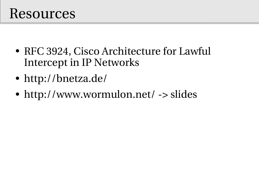#### Resources

- RFC 3924, Cisco Architecture for Lawful Intercept in IP Networks
- http://bnetza.de/
- http://www.wormulon.net/ -> slides